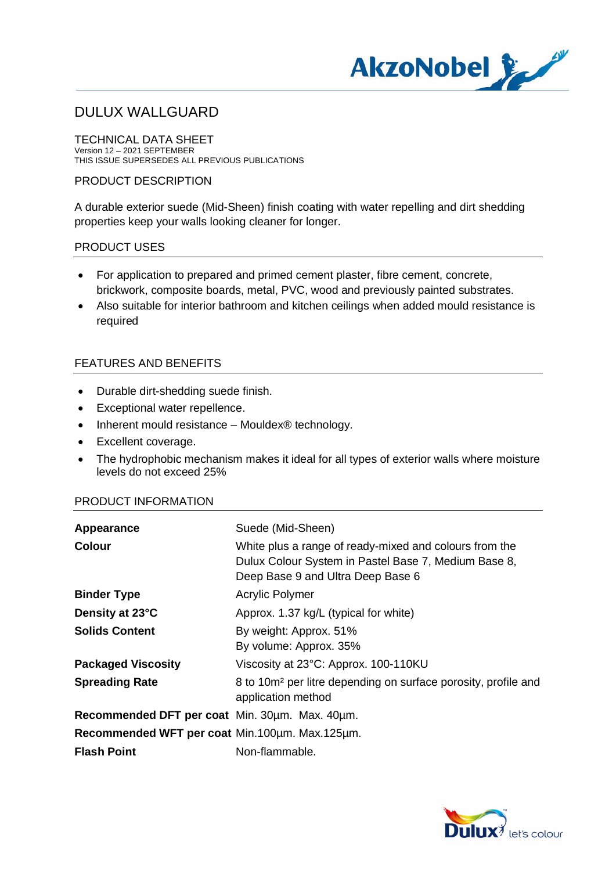

TECHNICAL DATA SHEET Version 12 – 2021 SEPTEMBER THIS ISSUE SUPERSEDES ALL PREVIOUS PUBLICATIONS

### PRODUCT DESCRIPTION

A durable exterior suede (Mid-Sheen) finish coating with water repelling and dirt shedding properties keep your walls looking cleaner for longer.

## PRODUCT USES

- · For application to prepared and primed cement plaster, fibre cement, concrete, brickwork, composite boards, metal, PVC, wood and previously painted substrates.
- · Also suitable for interior bathroom and kitchen ceilings when added mould resistance is required

## FEATURES AND BENEFITS

- · Durable dirt-shedding suede finish.
- · Exceptional water repellence.
- Inherent mould resistance Mouldex® technology.
- · Excellent coverage.
- · The hydrophobic mechanism makes it ideal for all types of exterior walls where moisture levels do not exceed 25%

#### PRODUCT INFORMATION

| Appearance                                     | Suede (Mid-Sheen)                                                                                                                                   |
|------------------------------------------------|-----------------------------------------------------------------------------------------------------------------------------------------------------|
| <b>Colour</b>                                  | White plus a range of ready-mixed and colours from the<br>Dulux Colour System in Pastel Base 7, Medium Base 8,<br>Deep Base 9 and Ultra Deep Base 6 |
| <b>Binder Type</b>                             | Acrylic Polymer                                                                                                                                     |
| Density at 23°C                                | Approx. 1.37 kg/L (typical for white)                                                                                                               |
| <b>Solids Content</b>                          | By weight: Approx. 51%                                                                                                                              |
|                                                | By volume: Approx. 35%                                                                                                                              |
| <b>Packaged Viscosity</b>                      | Viscosity at 23°C: Approx. 100-110KU                                                                                                                |
| <b>Spreading Rate</b>                          | 8 to 10m <sup>2</sup> per litre depending on surface porosity, profile and<br>application method                                                    |
| Recommended DFT per coat Min. 30um. Max. 40um. |                                                                                                                                                     |
| Recommended WFT per coat Min.100um. Max.125um. |                                                                                                                                                     |
| <b>Flash Point</b>                             | Non-flammable.                                                                                                                                      |

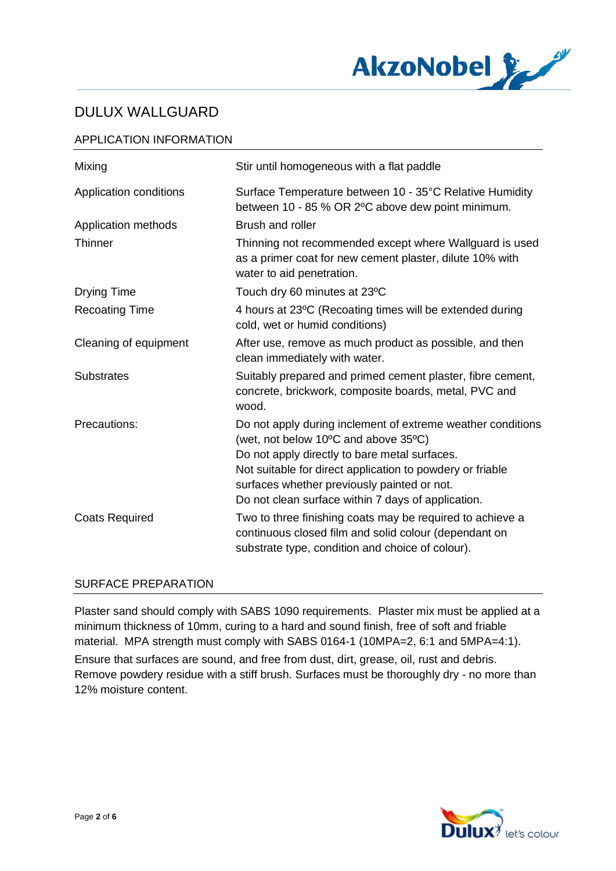

## APPLICATION INFORMATION

| Mixing                 | Stir until homogeneous with a flat paddle                                                                                                                                                                                                                                                                              |
|------------------------|------------------------------------------------------------------------------------------------------------------------------------------------------------------------------------------------------------------------------------------------------------------------------------------------------------------------|
| Application conditions | Surface Temperature between 10 - 35°C Relative Humidity<br>between 10 - 85 % OR 2°C above dew point minimum.                                                                                                                                                                                                           |
| Application methods    | Brush and roller                                                                                                                                                                                                                                                                                                       |
| Thinner                | Thinning not recommended except where Wallguard is used<br>as a primer coat for new cement plaster, dilute 10% with<br>water to aid penetration.                                                                                                                                                                       |
| Drying Time            | Touch dry 60 minutes at 23°C                                                                                                                                                                                                                                                                                           |
| <b>Recoating Time</b>  | 4 hours at 23°C (Recoating times will be extended during<br>cold, wet or humid conditions)                                                                                                                                                                                                                             |
| Cleaning of equipment  | After use, remove as much product as possible, and then<br>clean immediately with water.                                                                                                                                                                                                                               |
| <b>Substrates</b>      | Suitably prepared and primed cement plaster, fibre cement,<br>concrete, brickwork, composite boards, metal, PVC and<br>wood.                                                                                                                                                                                           |
| Precautions:           | Do not apply during inclement of extreme weather conditions<br>(wet, not below 10°C and above 35°C)<br>Do not apply directly to bare metal surfaces.<br>Not suitable for direct application to powdery or friable<br>surfaces whether previously painted or not.<br>Do not clean surface within 7 days of application. |
| <b>Coats Required</b>  | Two to three finishing coats may be required to achieve a<br>continuous closed film and solid colour (dependant on<br>substrate type, condition and choice of colour).                                                                                                                                                 |

### SURFACE PREPARATION

Plaster sand should comply with SABS 1090 requirements. Plaster mix must be applied at a minimum thickness of 10mm, curing to a hard and sound finish, free of soft and friable material. MPA strength must comply with SABS 0164-1 (10MPA=2, 6:1 and 5MPA=4:1).

Ensure that surfaces are sound, and free from dust, dirt, grease, oil, rust and debris. Remove powdery residue with a stiff brush. Surfaces must be thoroughly dry - no more than 12% moisture content.

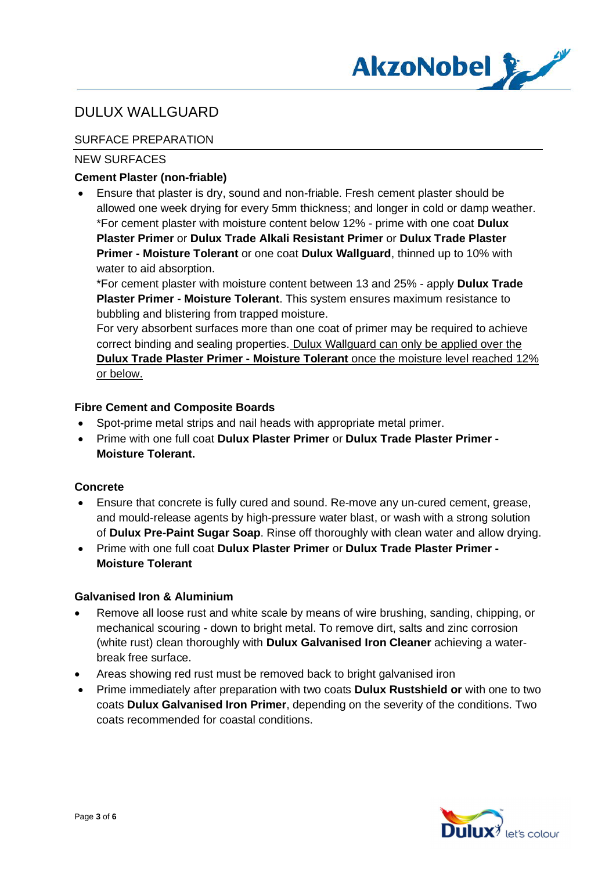

## SURFACE PREPARATION

## NEW SURFACES

## **Cement Plaster (non-friable)**

· Ensure that plaster is dry, sound and non-friable. Fresh cement plaster should be allowed one week drying for every 5mm thickness; and longer in cold or damp weather. \*For cement plaster with moisture content below 12% - prime with one coat **Dulux Plaster Primer** or **Dulux Trade Alkali Resistant Primer** or **Dulux Trade Plaster Primer - Moisture Tolerant** or one coat **Dulux Wallguard**, thinned up to 10% with water to aid absorption.

\*For cement plaster with moisture content between 13 and 25% - apply **Dulux Trade Plaster Primer - Moisture Tolerant**. This system ensures maximum resistance to bubbling and blistering from trapped moisture.

For very absorbent surfaces more than one coat of primer may be required to achieve correct binding and sealing properties. Dulux Wallguard can only be applied over the **Dulux Trade Plaster Primer - Moisture Tolerant** once the moisture level reached 12% or below.

### **Fibre Cement and Composite Boards**

- · Spot-prime metal strips and nail heads with appropriate metal primer.
- · Prime with one full coat **Dulux Plaster Primer** or **Dulux Trade Plaster Primer - Moisture Tolerant.**

### **Concrete**

- · Ensure that concrete is fully cured and sound. Re-move any un-cured cement, grease, and mould-release agents by high-pressure water blast, or wash with a strong solution of **Dulux Pre-Paint Sugar Soap**. Rinse off thoroughly with clean water and allow drying.
- · Prime with one full coat **Dulux Plaster Primer** or **Dulux Trade Plaster Primer - Moisture Tolerant**

### **Galvanised Iron & Aluminium**

- Remove all loose rust and white scale by means of wire brushing, sanding, chipping, or mechanical scouring - down to bright metal. To remove dirt, salts and zinc corrosion (white rust) clean thoroughly with **Dulux Galvanised Iron Cleaner** achieving a waterbreak free surface.
- Areas showing red rust must be removed back to bright galvanised iron
- · Prime immediately after preparation with two coats **Dulux Rustshield or** with one to two coats **Dulux Galvanised Iron Primer**, depending on the severity of the conditions. Two coats recommended for coastal conditions.

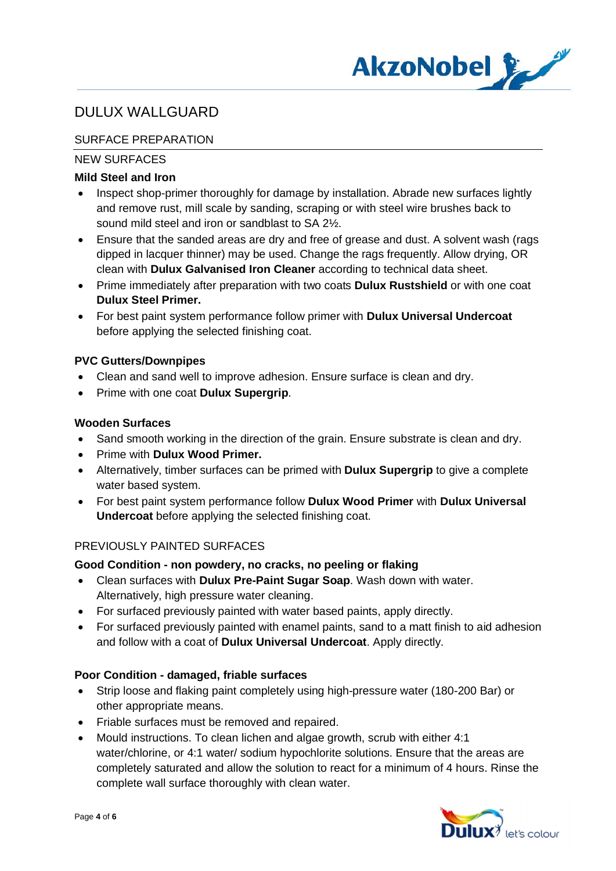

## SURFACE PREPARATION

## NEW SURFACES

## **Mild Steel and Iron**

- Inspect shop-primer thoroughly for damage by installation. Abrade new surfaces lightly and remove rust, mill scale by sanding, scraping or with steel wire brushes back to sound mild steel and iron or sandblast to SA 2½.
- Ensure that the sanded areas are dry and free of grease and dust. A solvent wash (rags dipped in lacquer thinner) may be used. Change the rags frequently. Allow drying, OR clean with **Dulux Galvanised Iron Cleaner** according to technical data sheet.
- · Prime immediately after preparation with two coats **Dulux Rustshield** or with one coat **Dulux Steel Primer.**
- · For best paint system performance follow primer with **Dulux Universal Undercoat** before applying the selected finishing coat.

## **PVC Gutters/Downpipes**

- · Clean and sand well to improve adhesion. Ensure surface is clean and dry.
- · Prime with one coat **Dulux Supergrip**.

### **Wooden Surfaces**

- Sand smooth working in the direction of the grain. Ensure substrate is clean and dry.
- · Prime with **Dulux Wood Primer.**
- · Alternatively, timber surfaces can be primed with **Dulux Supergrip** to give a complete water based system.
- · For best paint system performance follow **Dulux Wood Primer** with **Dulux Universal Undercoat** before applying the selected finishing coat.

## PREVIOUSLY PAINTED SURFACES

### **Good Condition - non powdery, no cracks, no peeling or flaking**

- · Clean surfaces with **Dulux Pre-Paint Sugar Soap**. Wash down with water. Alternatively, high pressure water cleaning.
- For surfaced previously painted with water based paints, apply directly.
- · For surfaced previously painted with enamel paints, sand to a matt finish to aid adhesion and follow with a coat of **Dulux Universal Undercoat**. Apply directly.

## **Poor Condition - damaged, friable surfaces**

- · Strip loose and flaking paint completely using high-pressure water (180-200 Bar) or other appropriate means.
- · Friable surfaces must be removed and repaired.
- · Mould instructions. To clean lichen and algae growth, scrub with either 4:1 water/chlorine, or 4:1 water/ sodium hypochlorite solutions. Ensure that the areas are completely saturated and allow the solution to react for a minimum of 4 hours. Rinse the complete wall surface thoroughly with clean water.

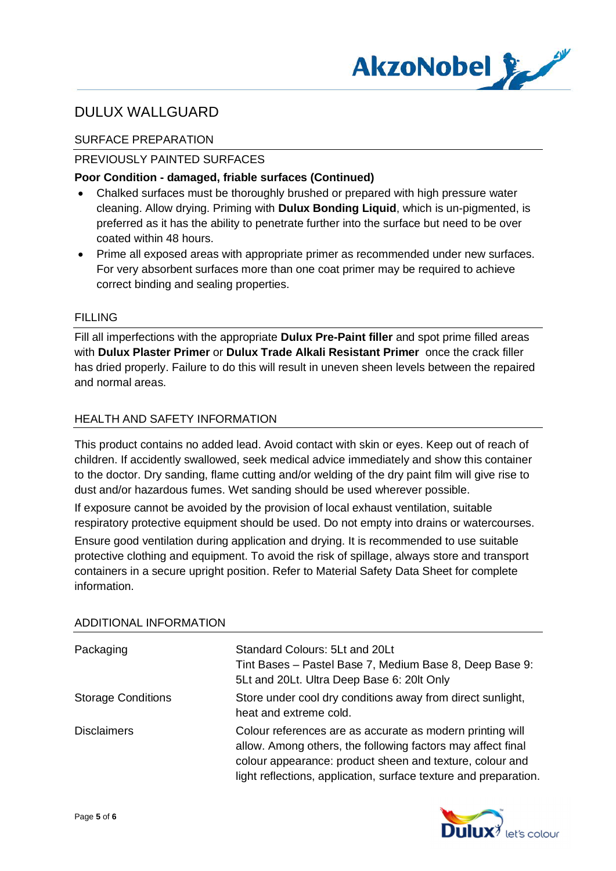

## SURFACE PREPARATION

### PREVIOUSLY PAINTED SURFACES

### **Poor Condition - damaged, friable surfaces (Continued)**

- · Chalked surfaces must be thoroughly brushed or prepared with high pressure water cleaning. Allow drying. Priming with **Dulux Bonding Liquid**, which is un-pigmented, is preferred as it has the ability to penetrate further into the surface but need to be over coated within 48 hours.
- · Prime all exposed areas with appropriate primer as recommended under new surfaces. For very absorbent surfaces more than one coat primer may be required to achieve correct binding and sealing properties.

### FILLING

Fill all imperfections with the appropriate **Dulux Pre-Paint filler** and spot prime filled areas with **Dulux Plaster Primer** or **Dulux Trade Alkali Resistant Primer** once the crack filler has dried properly. Failure to do this will result in uneven sheen levels between the repaired and normal areas.

## HEALTH AND SAFFTY INFORMATION

This product contains no added lead. Avoid contact with skin or eyes. Keep out of reach of children. If accidently swallowed, seek medical advice immediately and show this container to the doctor. Dry sanding, flame cutting and/or welding of the dry paint film will give rise to dust and/or hazardous fumes. Wet sanding should be used wherever possible.

If exposure cannot be avoided by the provision of local exhaust ventilation, suitable respiratory protective equipment should be used. Do not empty into drains or watercourses.

Ensure good ventilation during application and drying. It is recommended to use suitable protective clothing and equipment. To avoid the risk of spillage, always store and transport containers in a secure upright position. Refer to Material Safety Data Sheet for complete information.

| Packaging                 | Standard Colours: 5Lt and 20Lt<br>Tint Bases - Pastel Base 7, Medium Base 8, Deep Base 9:<br>5Lt and 20Lt. Ultra Deep Base 6: 20lt Only                                                                                                                  |
|---------------------------|----------------------------------------------------------------------------------------------------------------------------------------------------------------------------------------------------------------------------------------------------------|
| <b>Storage Conditions</b> | Store under cool dry conditions away from direct sunlight,<br>heat and extreme cold.                                                                                                                                                                     |
| <b>Disclaimers</b>        | Colour references are as accurate as modern printing will<br>allow. Among others, the following factors may affect final<br>colour appearance: product sheen and texture, colour and<br>light reflections, application, surface texture and preparation. |

### ADDITIONAL INFORMATION